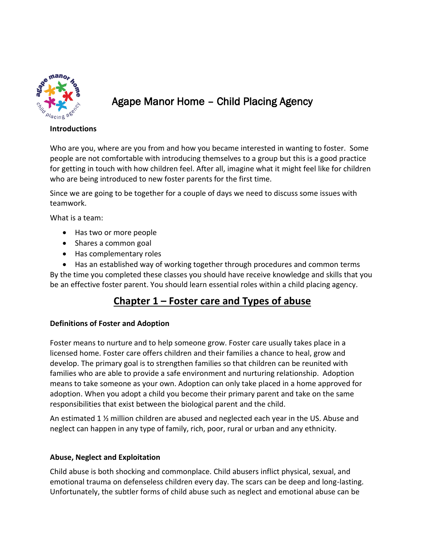

# Agape Manor Home – Child Placing Agency

#### **Introductions**

Who are you, where are you from and how you became interested in wanting to foster. Some people are not comfortable with introducing themselves to a group but this is a good practice for getting in touch with how children feel. After all, imagine what it might feel like for children who are being introduced to new foster parents for the first time.

Since we are going to be together for a couple of days we need to discuss some issues with teamwork.

What is a team:

- Has two or more people
- Shares a common goal
- Has complementary roles

 Has an established way of working together through procedures and common terms By the time you completed these classes you should have receive knowledge and skills that you be an effective foster parent. You should learn essential roles within a child placing agency.

# **Chapter 1 – Foster care and Types of abuse**

# **Definitions of Foster and Adoption**

Foster means to nurture and to help someone grow. Foster care usually takes place in a licensed home. Foster care offers children and their families a chance to heal, grow and develop. The primary goal is to strengthen families so that children can be reunited with families who are able to provide a safe environment and nurturing relationship. Adoption means to take someone as your own. Adoption can only take placed in a home approved for adoption. When you adopt a child you become their primary parent and take on the same responsibilities that exist between the biological parent and the child.

An estimated 1  $\frac{1}{2}$  million children are abused and neglected each year in the US. Abuse and neglect can happen in any type of family, rich, poor, rural or urban and any ethnicity.

# **Abuse, Neglect and Exploitation**

Child abuse is both shocking and commonplace. Child abusers inflict physical, sexual, and emotional trauma on defenseless children every day. The scars can be deep and long-lasting. Unfortunately, the subtler forms of child abuse such as neglect and emotional abuse can be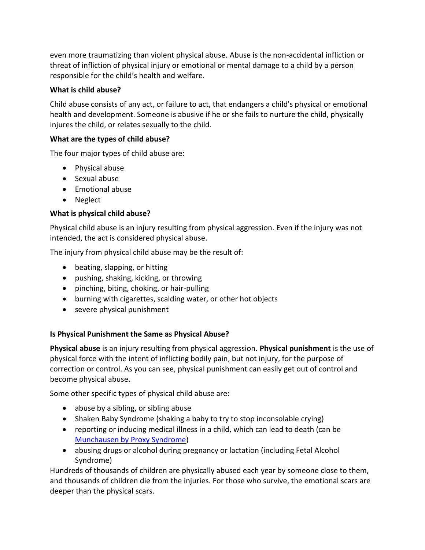even more traumatizing than violent physical abuse. Abuse is the non-accidental infliction or threat of infliction of physical injury or emotional or mental damage to a child by a person responsible for the child's health and welfare.

# **What is child abuse?**

Child abuse consists of any act, or failure to act, that endangers a child's physical or emotional health and development. Someone is abusive if he or she fails to nurture the child, physically injures the child, or relates sexually to the child.

# **What are the types of child abuse?**

The four major types of child abuse are:

- Physical abuse
- Sexual abuse
- Emotional abuse
- Neglect

# **What is physical child abuse?**

Physical child abuse is an injury resulting from physical aggression. Even if the injury was not intended, the act is considered physical abuse.

The injury from physical child abuse may be the result of:

- beating, slapping, or hitting
- pushing, shaking, kicking, or throwing
- pinching, biting, choking, or hair-pulling
- burning with cigarettes, scalding water, or other hot objects
- severe physical punishment

# **Is Physical Punishment the Same as Physical Abuse?**

**Physical abuse** is an injury resulting from physical aggression. **Physical punishment** is the use of physical force with the intent of inflicting bodily pain, but not injury, for the purpose of correction or control. As you can see, physical punishment can easily get out of control and become physical abuse.

Some other specific types of physical child abuse are:

- abuse by a sibling, or sibling abuse
- Shaken Baby Syndrome (shaking a baby to try to stop inconsolable crying)
- reporting or inducing medical illness in a child, which can lead to death (can be [Munchausen by Proxy Syndrome\)](http://www.kidshealth.org/parent/system/ill/munchausen.html)
- abusing drugs or alcohol during pregnancy or lactation (including Fetal Alcohol Syndrome)

Hundreds of thousands of children are physically abused each year by someone close to them, and thousands of children die from the injuries. For those who survive, the emotional scars are deeper than the physical scars.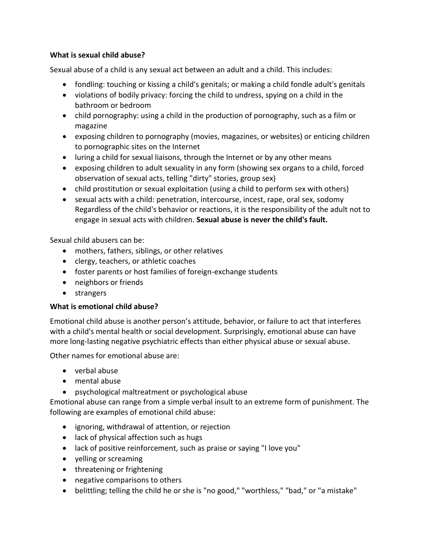#### **What is sexual child abuse?**

Sexual abuse of a child is any sexual act between an adult and a child. This includes:

- fondling: touching or kissing a child's genitals; or making a child fondle adult's genitals
- violations of bodily privacy: forcing the child to undress, spying on a child in the bathroom or bedroom
- child pornography: using a child in the production of pornography, such as a film or magazine
- exposing children to pornography (movies, magazines, or websites) or enticing children to pornographic sites on the Internet
- luring a child for sexual liaisons, through the Internet or by any other means
- exposing children to adult sexuality in any form (showing sex organs to a child, forced observation of sexual acts, telling "dirty" stories, group sex)
- child prostitution or sexual exploitation (using a child to perform sex with others)
- sexual acts with a child: penetration, intercourse, incest, rape, oral sex, sodomy Regardless of the child's behavior or reactions, it is the responsibility of the adult not to engage in sexual acts with children. **Sexual abuse is never the child's fault.**

Sexual child abusers can be:

- mothers, fathers, siblings, or other relatives
- clergy, teachers, or athletic coaches
- foster parents or host families of foreign-exchange students
- neighbors or friends
- strangers

# **What is emotional child abuse?**

Emotional child abuse is another person's attitude, behavior, or failure to act that interferes with a child's mental health or social development. Surprisingly, emotional abuse can have more long-lasting negative psychiatric effects than either physical abuse or sexual abuse.

Other names for emotional abuse are:

- verbal abuse
- mental abuse
- psychological maltreatment or psychological abuse

Emotional abuse can range from a simple verbal insult to an extreme form of punishment. The following are examples of emotional child abuse:

- ignoring, withdrawal of attention, or rejection
- lack of physical affection such as hugs
- lack of positive reinforcement, such as praise or saying "I love you"
- yelling or screaming
- threatening or frightening
- negative comparisons to others
- belittling; telling the child he or she is "no good," "worthless," "bad," or "a mistake"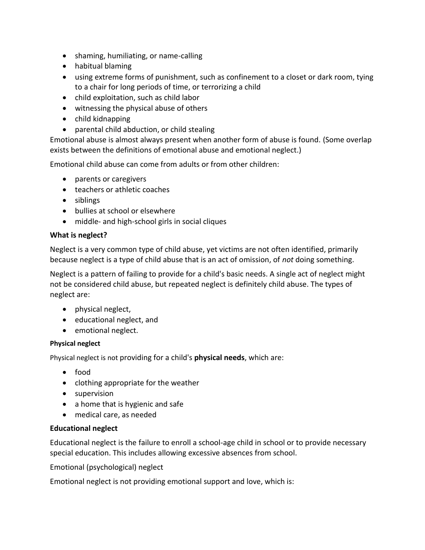- shaming, humiliating, or name-calling
- habitual blaming
- using extreme forms of punishment, such as confinement to a closet or dark room, tying to a chair for long periods of time, or terrorizing a child
- child exploitation, such as child labor
- witnessing the physical abuse of others
- child kidnapping
- parental child abduction, or child stealing

Emotional abuse is almost always present when another form of abuse is found. (Some overlap exists between the definitions of emotional abuse and emotional neglect.)

Emotional child abuse can come from adults or from other children:

- parents or caregivers
- teachers or athletic coaches
- siblings
- bullies at school or elsewhere
- middle- and high-school girls in social cliques

#### **What is neglect?**

Neglect is a very common type of child abuse, yet victims are not often identified, primarily because neglect is a type of child abuse that is an act of omission, of *not* doing something.

Neglect is a pattern of failing to provide for a child's basic needs. A single act of neglect might not be considered child abuse, but repeated neglect is definitely child abuse. The types of neglect are:

- physical neglect,
- educational neglect, and
- emotional neglect.

#### **Physical neglect**

Physical neglect is not providing for a child's **physical needs**, which are:

- food
- clothing appropriate for the weather
- supervision
- a home that is hygienic and safe
- medical care, as needed

# **Educational neglect**

Educational neglect is the failure to enroll a school-age child in school or to provide necessary special education. This includes allowing excessive absences from school.

Emotional (psychological) neglect

Emotional neglect is not providing emotional support and love, which is: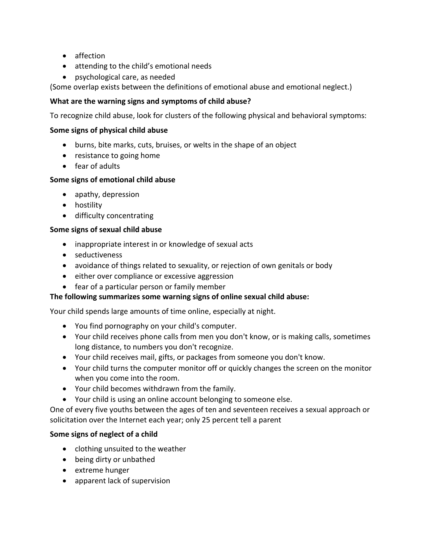- affection
- attending to the child's emotional needs
- psychological care, as needed

(Some overlap exists between the definitions of emotional abuse and emotional neglect.)

#### **What are the warning signs and symptoms of child abuse?**

To recognize child abuse, look for clusters of the following physical and behavioral symptoms:

#### **Some signs of physical child abuse**

- burns, bite marks, cuts, bruises, or welts in the shape of an object
- resistance to going home
- fear of adults

#### **Some signs of emotional child abuse**

- apathy, depression
- hostility
- difficulty concentrating

#### **Some signs of sexual child abuse**

- inappropriate interest in or knowledge of sexual acts
- seductiveness
- avoidance of things related to sexuality, or rejection of own genitals or body
- either over compliance or excessive aggression
- fear of a particular person or family member

#### **The following summarizes some warning signs of online sexual child abuse:**

Your child spends large amounts of time online, especially at night.

- You find pornography on your child's computer.
- Your child receives phone calls from men you don't know, or is making calls, sometimes long distance, to numbers you don't recognize.
- Your child receives mail, gifts, or packages from someone you don't know.
- Your child turns the computer monitor off or quickly changes the screen on the monitor when you come into the room.
- Your child becomes withdrawn from the family.
- Your child is using an online account belonging to someone else.

One of every five youths between the ages of ten and seventeen receives a sexual approach or solicitation over the Internet each year; only 25 percent tell a parent

#### **Some signs of neglect of a child**

- clothing unsuited to the weather
- being dirty or unbathed
- extreme hunger
- apparent lack of supervision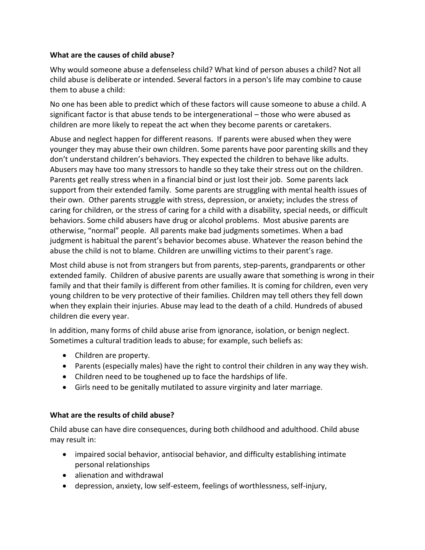#### **What are the causes of child abuse?**

Why would someone abuse a defenseless child? What kind of person abuses a child? Not all child abuse is deliberate or intended. Several factors in a person's life may combine to cause them to abuse a child:

No one has been able to predict which of these factors will cause someone to abuse a child. A significant factor is that abuse tends to be intergenerational – those who were abused as children are more likely to repeat the act when they become parents or caretakers.

Abuse and neglect happen for different reasons. If parents were abused when they were younger they may abuse their own children. Some parents have poor parenting skills and they don't understand children's behaviors. They expected the children to behave like adults. Abusers may have too many stressors to handle so they take their stress out on the children. Parents get really stress when in a financial bind or just lost their job. Some parents lack support from their extended family. Some parents are struggling with mental health issues of their own. Other parents struggle with stress, depression, or anxiety; includes the stress of caring for children, or the stress of caring for a child with a disability, special needs, or difficult behaviors. Some child abusers have drug or alcohol problems. Most abusive parents are otherwise, "normal" people. All parents make bad judgments sometimes. When a bad judgment is habitual the parent's behavior becomes abuse. Whatever the reason behind the abuse the child is not to blame. Children are unwilling victims to their parent's rage.

Most child abuse is not from strangers but from parents, step-parents, grandparents or other extended family. Children of abusive parents are usually aware that something is wrong in their family and that their family is different from other families. It is coming for children, even very young children to be very protective of their families. Children may tell others they fell down when they explain their injuries. Abuse may lead to the death of a child. Hundreds of abused children die every year.

In addition, many forms of child abuse arise from ignorance, isolation, or benign neglect. Sometimes a cultural tradition leads to abuse; for example, such beliefs as:

- Children are property.
- Parents (especially males) have the right to control their children in any way they wish.
- Children need to be toughened up to face the hardships of life.
- Girls need to be genitally mutilated to assure virginity and later marriage.

# **What are the results of child abuse?**

Child abuse can have dire consequences, during both childhood and adulthood. Child abuse may result in:

- impaired social behavior, antisocial behavior, and difficulty establishing intimate personal relationships
- alienation and withdrawal
- depression, anxiety, low self-esteem, feelings of worthlessness, self-injury,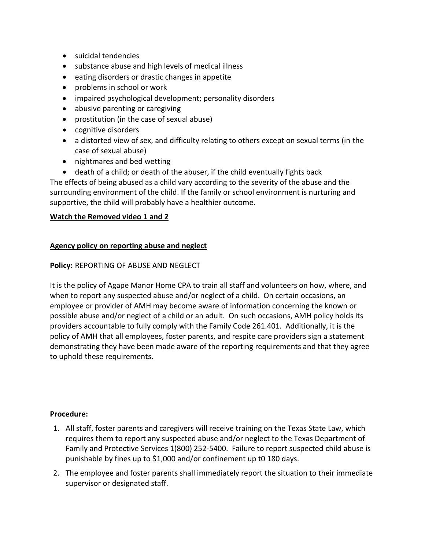- suicidal tendencies
- substance abuse and high levels of medical illness
- eating disorders or drastic changes in appetite
- problems in school or work
- impaired psychological development; personality disorders
- abusive parenting or caregiving
- prostitution (in the case of sexual abuse)
- cognitive disorders
- a distorted view of sex, and difficulty relating to others except on sexual terms (in the case of sexual abuse)
- nightmares and bed wetting
- death of a child; or death of the abuser, if the child eventually fights back The effects of being abused as a child vary according to the severity of the abuse and the surrounding environment of the child. If the family or school environment is nurturing and supportive, the child will probably have a healthier outcome.

# **Watch the Removed video 1 and 2**

# **Agency policy on reporting abuse and neglect**

#### **Policy:** REPORTING OF ABUSE AND NEGLECT

It is the policy of Agape Manor Home CPA to train all staff and volunteers on how, where, and when to report any suspected abuse and/or neglect of a child. On certain occasions, an employee or provider of AMH may become aware of information concerning the known or possible abuse and/or neglect of a child or an adult. On such occasions, AMH policy holds its providers accountable to fully comply with the Family Code 261.401. Additionally, it is the policy of AMH that all employees, foster parents, and respite care providers sign a statement demonstrating they have been made aware of the reporting requirements and that they agree to uphold these requirements.

#### **Procedure:**

- 1. All staff, foster parents and caregivers will receive training on the Texas State Law, which requires them to report any suspected abuse and/or neglect to the Texas Department of Family and Protective Services 1(800) 252-5400. Failure to report suspected child abuse is punishable by fines up to \$1,000 and/or confinement up t0 180 days.
- 2. The employee and foster parents shall immediately report the situation to their immediate supervisor or designated staff.